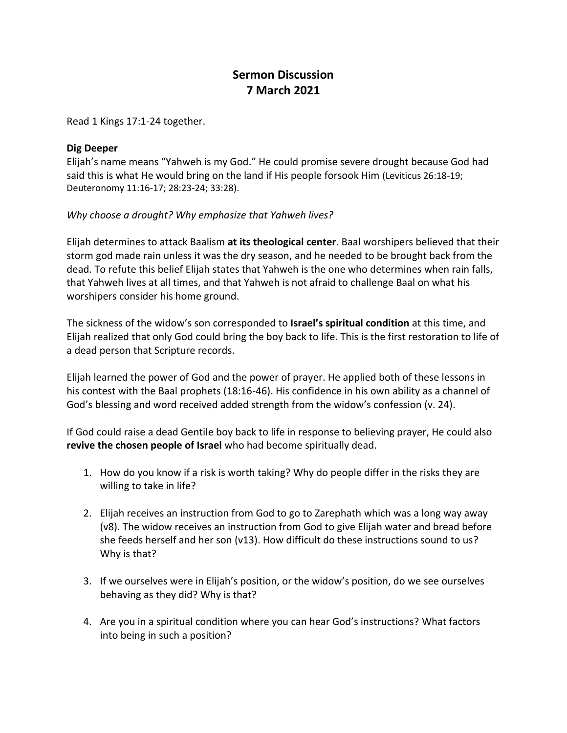## **Sermon Discussion 7 March 2021**

Read 1 Kings 17:1-24 together.

## **Dig Deeper**

Elijah's name means "Yahweh is my God." He could promise severe drought because God had said this is what He would bring on the land if His people forsook Him (Leviticus 26:18-19; Deuteronomy 11:16-17; 28:23-24; 33:28).

## *Why choose a drought? Why emphasize that Yahweh lives?*

Elijah determines to attack Baalism **at its theological center**. Baal worshipers believed that their storm god made rain unless it was the dry season, and he needed to be brought back from the dead. To refute this belief Elijah states that Yahweh is the one who determines when rain falls, that Yahweh lives at all times, and that Yahweh is not afraid to challenge Baal on what his worshipers consider his home ground.

The sickness of the widow's son corresponded to **Israel's spiritual condition** at this time, and Elijah realized that only God could bring the boy back to life. This is the first restoration to life of a dead person that Scripture records.

Elijah learned the power of God and the power of prayer. He applied both of these lessons in his contest with the Baal prophets (18:16-46). His confidence in his own ability as a channel of God's blessing and word received added strength from the widow's confession (v. 24).

If God could raise a dead Gentile boy back to life in response to believing prayer, He could also **revive the chosen people of Israel** who had become spiritually dead.

- 1. How do you know if a risk is worth taking? Why do people differ in the risks they are willing to take in life?
- 2. Elijah receives an instruction from God to go to Zarephath which was a long way away (v8). The widow receives an instruction from God to give Elijah water and bread before she feeds herself and her son (v13). How difficult do these instructions sound to us? Why is that?
- 3. If we ourselves were in Elijah's position, or the widow's position, do we see ourselves behaving as they did? Why is that?
- 4. Are you in a spiritual condition where you can hear God's instructions? What factors into being in such a position?